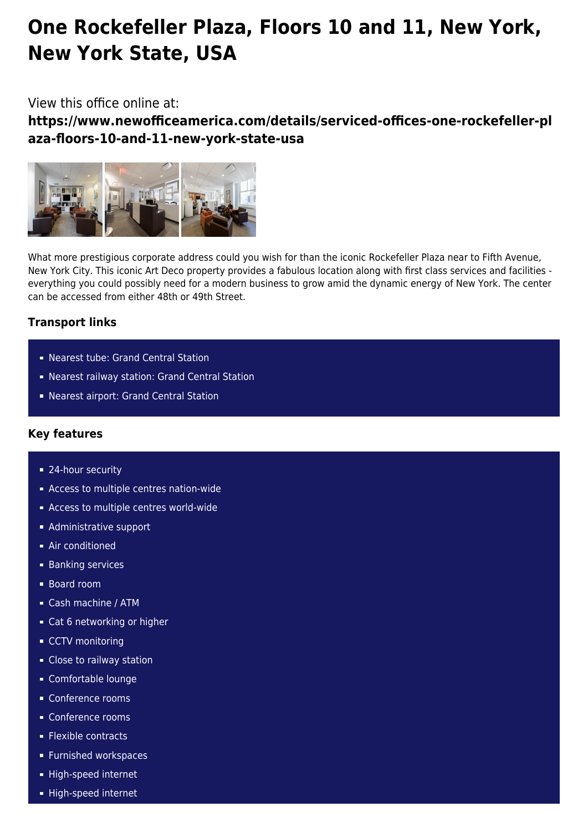# **One Rockefeller Plaza, Floors 10 and 11, New York, New York State, USA**

# View this office online at:

**https://www.newofficeamerica.com/details/serviced-offices-one-rockefeller-pl aza-floors-10-and-11-new-york-state-usa**



What more prestigious corporate address could you wish for than the iconic Rockefeller Plaza near to Fifth Avenue, New York City. This iconic Art Deco property provides a fabulous location along with first class services and facilities everything you could possibly need for a modern business to grow amid the dynamic energy of New York. The center can be accessed from either 48th or 49th Street.

## **Transport links**

- Nearest tube: Grand Central Station
- Nearest railway station: Grand Central Station
- Nearest airport: Grand Central Station

### **Key features**

- 24-hour security
- **Access to multiple centres nation-wide**
- **Access to multiple centres world-wide**
- **Administrative support**
- **Air conditioned**
- **Banking services**
- Board room
- Cash machine / ATM
- Cat 6 networking or higher
- CCTV monitoring
- **Close to railway station**
- Comfortable lounge
- Conference rooms
- Conference rooms
- **Flexible contracts**
- **Furnished workspaces**
- High-speed internet
- High-speed internet